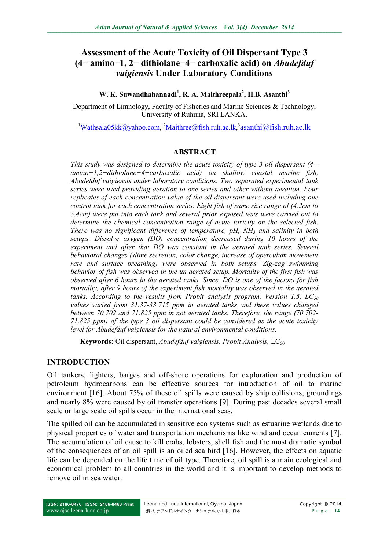# **Assessment of the Acute Toxicity of Oil Dispersant Type 3 (4− amino−1, 2− dithiolane−4− carboxalic acid) on** *Abudefduf vaigiensis* **Under Laboratory Conditions**

#### **W. K. Suwandhahannadi<sup>1</sup> , R. A. Maithreepala<sup>2</sup> , H.B. Asanthi<sup>3</sup>**

Department of Limnology, Faculty of Fisheries and Marine Sciences & Technology, University of Ruhuna, SRI LANKA.

<sup>1</sup>[Wathsala05kk@yahoo.com,](mailto:Wathsala05kk@yahoo.com) <sup>2</sup>[Maithree@fish.ruh.ac.lk,](mailto:Maithree@fish.ruh.ac.lk) <sup>3</sup>[asanthi@fish.ruh.ac.lk](mailto:asanthi@fish.ruh.ac.lk)

#### **ABSTRACT**

*This study was designed to determine the acute toxicity of type 3 oil dispersant (4− amino−1,2−dithiolane−4−carboxalic acid) on shallow coastal marine fish, Abudefduf vaigiensis under laboratory conditions. Two separated experimental tank series were used providing aeration to one series and other without aeration. Four replicates of each concentration value of the oil dispersant were used including one control tank for each concentration series. Eight fish of same size range of (4.2cm to 5.4cm) were put into each tank and several prior exposed tests were carried out to determine the chemical concentration range of acute toxicity on the selected fish. There was no significant difference of temperature, pH, NH<sup>3</sup> and salinity in both setups. Dissolve oxygen (DO) concentration decreased during 10 hours of the experiment and after that DO was constant in the aerated tank series. Several behavioral changes (slime secretion, color change, increase of operculum movement rate and surface breathing) were observed in both setups. Zig-zag swimming behavior of fish was observed in the un aerated setup. Mortality of the first fish was observed after 6 hours in the aerated tanks. Since, DO is one of the factors for fish mortality, after 9 hours of the experiment fish mortality was observed in the aerated tanks. According to the results from Probit analysis program, Version 1.5, LC<sup>50</sup> values varied from 31.37-33.715 ppm in aerated tanks and these values changed between 70.702 and 71.825 ppm in not aerated tanks. Therefore, the range (70.702- 71.825 ppm) of the type 3 oil dispersant could be considered as the acute toxicity level for Abudefduf vaigiensis for the natural environmental conditions.* 

**Keywords:** Oil dispersant, *Abudefduf vaigiensis, Probit Analysis*, LC<sub>50</sub>

#### **INTRODUCTION**

Oil tankers, lighters, barges and off-shore operations for exploration and production of petroleum hydrocarbons can be effective sources for introduction of oil to marine environment [16]. About 75% of these oil spills were caused by ship collisions, groundings and nearly 8% were caused by oil transfer operations [9]. During past decades several small scale or large scale oil spills occur in the international seas.

The spilled oil can be accumulated in sensitive eco systems such as estuarine wetlands due to physical properties of water and transportation mechanisms like wind and ocean currents [7]. The accumulation of oil cause to kill crabs, lobsters, shell fish and the most dramatic symbol of the consequences of an oil spill is an oiled sea bird [16]. However, the effects on aquatic life can be depended on the life time of oil type. Therefore, oil spill is a main ecological and economical problem to all countries in the world and it is important to develop methods to remove oil in sea water.

**ISSN: 2186-8476, ISSN: 2186-8468 Print** [www.ajsc.leena-luna.co.jp](http://www.ajssh.leena-luna.co.jp/)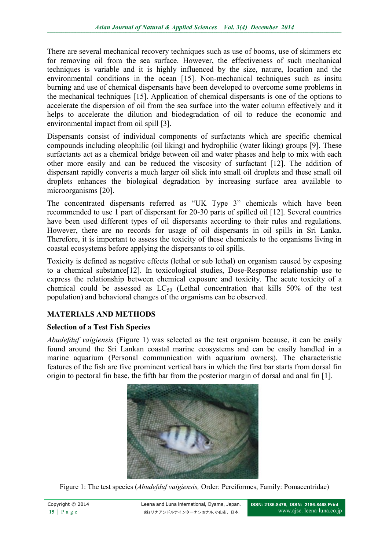There are several mechanical recovery techniques such as use of booms, use of skimmers etc for removing oil from the sea surface. However, the effectiveness of such mechanical techniques is variable and it is highly influenced by the size, nature, location and the environmental conditions in the ocean [15]. Non-mechanical techniques such as insitu burning and use of chemical dispersants have been developed to overcome some problems in the mechanical techniques [15]. Application of chemical dispersants is one of the options to accelerate the dispersion of oil from the sea surface into the water column effectively and it helps to accelerate the dilution and biodegradation of oil to reduce the economic and environmental impact from oil spill [3].

Dispersants consist of individual components of surfactants which are specific chemical compounds including oleophilic (oil liking) and hydrophilic (water liking) groups [9]. These surfactants act as a chemical bridge between oil and water phases and help to mix with each other more easily and can be reduced the viscosity of surfactant [12]. The addition of dispersant rapidly converts a much larger oil slick into small oil droplets and these small oil droplets enhances the biological degradation by increasing surface area available to microorganisms [20].

The concentrated dispersants referred as "UK Type 3" chemicals which have been recommended to use 1 part of dispersant for 20-30 parts of spilled oil [12]. Several countries have been used different types of oil dispersants according to their rules and regulations. However, there are no records for usage of oil dispersants in oil spills in Sri Lanka. Therefore, it is important to assess the toxicity of these chemicals to the organisms living in coastal ecosystems before applying the dispersants to oil spills.

Toxicity is defined as negative effects (lethal or sub lethal) on organism caused by exposing to a chemical substance[12]. In toxicological studies, Dose-Response relationship use to express the relationship between chemical exposure and toxicity. The acute toxicity of a chemical could be assessed as  $LC_{50}$  (Lethal concentration that kills 50% of the test population) and behavioral changes of the organisms can be observed.

## **MATERIALS AND METHODS**

## **Selection of a Test Fish Species**

*Abudefduf vaigiensis* (Figure 1) was selected as the test organism because, it can be easily found around the Sri Lankan coastal marine ecosystems and can be easily handled in a marine aquarium (Personal communication with aquarium owners). The characteristic features of the fish are five prominent vertical bars in which the first bar starts from dorsal fin origin to pectoral fin base, the fifth bar from the posterior margin of dorsal and anal fin [1].



Figure 1: The test species (*Abudefduf vaigiensis,* Order: Perciformes, Family: Pomacentridae)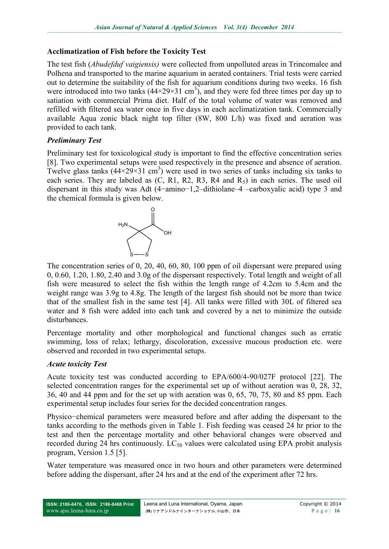## **Acclimatization of Fish before the Toxicity Test**

The test fish (*Abudefduf vaigiensis)* were collected from unpolluted areas in Trincomalee and Polhena and transported to the marine aquarium in aerated containers. Trial tests were carried out to determine the suitability of the fish for aquarium conditions during two weeks. 16 fish were introduced into two tanks  $(44 \times 29 \times 31 \text{ cm}^3)$ , and they were fed three times per day up to satiation with commercial Prima diet. Half of the total volume of water was removed and refilled with filtered sea water once in five days in each acclimatization tank. Commercially available Aqua zonic black night top filter (8W, 800 L/h) was fixed and aeration was provided to each tank.

## *Preliminary Test*

Preliminary test for toxicological study is important to find the effective concentration series [8]. Two experimental setups were used respectively in the presence and absence of aeration. Twelve glass tanks  $(44 \times 29 \times 31 \text{ cm}^3)$  were used in two series of tanks including six tanks to each series. They are labeled as  $(C, R1, R2, R3, R4$  and  $R_5$ ) in each series. The used oil dispersant in this study was Adt (4−amino−1,2–dithiolane–4 –carboxyalic acid) type 3 and the chemical formula is given below.



The concentration series of 0, 20, 40, 60, 80, 100 ppm of oil dispersant were prepared using 0, 0.60, 1.20, 1.80, 2.40 and 3.0g of the dispersant respectively. Total length and weight of all fish were measured to select the fish within the length range of 4.2cm to 5.4cm and the weight range was 3.9g to 4.8g. The length of the largest fish should not be more than twice that of the smallest fish in the same test [4]. All tanks were filled with 30L of filtered sea water and 8 fish were added into each tank and covered by a net to minimize the outside disturbances.

Percentage mortality and other morphological and functional changes such as erratic swimming, loss of relax; lethargy, discoloration, excessive mucous production etc. were observed and recorded in two experimental setups.

# *Acute toxicity Test*

Acute toxicity test was conducted according to EPA/600/4-90/027F protocol [22]. The selected concentration ranges for the experimental set up of without aeration was 0, 28, 32, 36, 40 and 44 ppm and for the set up with aeration was 0, 65, 70, 75, 80 and 85 ppm. Each experimental setup includes four series for the decided concentration ranges.

Physico−chemical parameters were measured before and after adding the dispersant to the tanks according to the methods given in Table 1. Fish feeding was ceased 24 hr prior to the test and then the percentage mortality and other behavioral changes were observed and recorded during 24 hrs continuously.  $LC_{50}$  values were calculated using EPA probit analysis program, Version 1.5 [5].

Water temperature was measured once in two hours and other parameters were determined before adding the dispersant, after 24 hrs and at the end of the experiment after 72 hrs.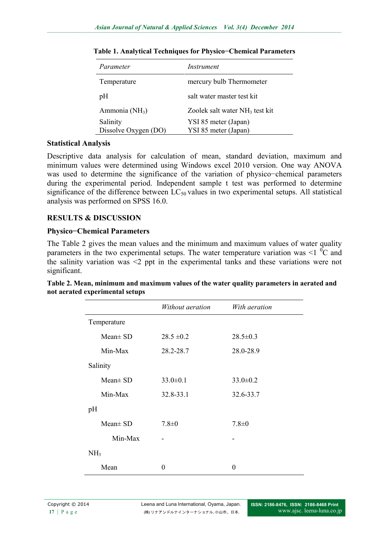| Parameter                        | Instrument                                   |
|----------------------------------|----------------------------------------------|
| Temperature                      | mercury bulb Thermometer                     |
| pH                               | salt water master test kit.                  |
| Ammonia (NH <sub>3</sub> )       | Zoolek salt water NH <sub>3</sub> test kit   |
| Salinity<br>Dissolve Oxygen (DO) | YSI 85 meter (Japan)<br>YSI 85 meter (Japan) |

**Table 1. Analytical Techniques for Physico−Chemical Parameters**

#### **Statistical Analysis**

Descriptive data analysis for calculation of mean, standard deviation, maximum and minimum values were determined using Windows excel 2010 version. One way ANOVA was used to determine the significance of the variation of physico−chemical parameters during the experimental period. Independent sample t test was performed to determine significance of the difference between  $LC_{50}$  values in two experimental setups. All statistical analysis was performed on SPSS 16.0.

## **RESULTS & DISCUSSION**

#### **Physico−Chemical Parameters**

The Table 2 gives the mean values and the minimum and maximum values of water quality parameters in the two experimental setups. The water temperature variation was  $\leq 1$  °C and the salinity variation was <2 ppt in the experimental tanks and these variations were not significant.

|                 | Without aeration | With aeration  |
|-----------------|------------------|----------------|
| Temperature     |                  |                |
| $Mean \pm SD$   | $28.5 \pm 0.2$   | $28.5 \pm 0.3$ |
| Min-Max         | 28.2-28.7        | 28.0-28.9      |
| Salinity        |                  |                |
| $Mean \pm SD$   | $33.0 \pm 0.1$   | $33.0 \pm 0.2$ |
| Min-Max         | 32.8-33.1        | 32.6-33.7      |
| pH              |                  |                |
| $Mean \pm SD$   | $7.8 \pm 0$      | $7.8 \pm 0$    |
| Min-Max         |                  |                |
| NH <sub>3</sub> |                  |                |
| Mean            | 0                | 0              |

| Table 2. Mean, minimum and maximum values of the water quality parameters in aerated and |  |  |
|------------------------------------------------------------------------------------------|--|--|
| not aerated experimental setups                                                          |  |  |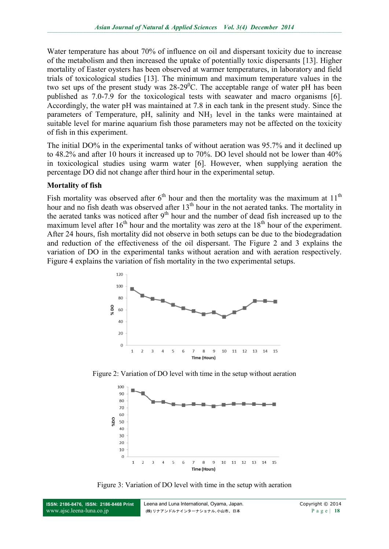Water temperature has about 70% of influence on oil and dispersant toxicity due to increase of the metabolism and then increased the uptake of potentially toxic dispersants [13]. Higher mortality of Easter oysters has been observed at warmer temperatures, in laboratory and field trials of toxicological studies [13]. The minimum and maximum temperature values in the two set ups of the present study was  $28{\text -}29^0$ C. The acceptable range of water pH has been published as 7.0-7.9 for the toxicological tests with seawater and macro organisms [6]. Accordingly, the water pH was maintained at 7.8 in each tank in the present study. Since the parameters of Temperature, pH, salinity and NH<sup>3</sup> level in the tanks were maintained at suitable level for marine aquarium fish those parameters may not be affected on the toxicity of fish in this experiment.

The initial DO% in the experimental tanks of without aeration was 95.7% and it declined up to 48.2% and after 10 hours it increased up to 70%. DO level should not be lower than 40% in toxicological studies using warm water [6]. However, when supplying aeration the percentage DO did not change after third hour in the experimental setup.

#### **Mortality of fish**

Fish mortality was observed after  $6<sup>th</sup>$  hour and then the mortality was the maximum at  $11<sup>th</sup>$ hour and no fish death was observed after  $13<sup>th</sup>$  hour in the not aerated tanks. The mortality in the aerated tanks was noticed after  $9<sup>th</sup>$  hour and the number of dead fish increased up to the maximum level after  $16<sup>th</sup>$  hour and the mortality was zero at the  $18<sup>th</sup>$  hour of the experiment. After 24 hours, fish mortality did not observe in both setups can be due to the biodegradation and reduction of the effectiveness of the oil dispersant. The Figure 2 and 3 explains the variation of DO in the experimental tanks without aeration and with aeration respectively. Figure 4 explains the variation of fish mortality in the two experimental setups.



Figure 2: Variation of DO level with time in the setup without aeration



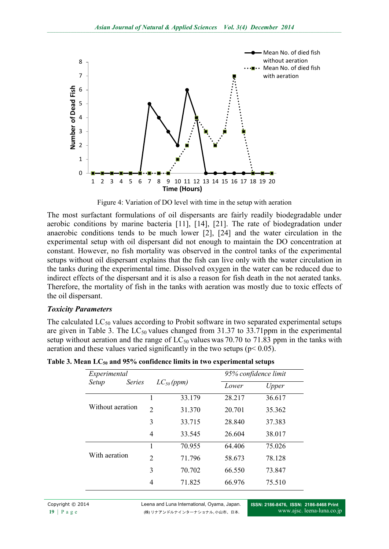

Figure 4: Variation of DO level with time in the setup with aeration

The most surfactant formulations of oil dispersants are fairly readily biodegradable under aerobic conditions by marine bacteria [11], [14], [21]. The rate of biodegradation under anaerobic conditions tends to be much lower [2], [24] and the water circulation in the experimental setup with oil dispersant did not enough to maintain the DO concentration at constant. However, no fish mortality was observed in the control tanks of the experimental setups without oil dispersant explains that the fish can live only with the water circulation in the tanks during the experimental time. Dissolved oxygen in the water can be reduced due to indirect effects of the dispersant and it is also a reason for fish death in the not aerated tanks. Therefore, the mortality of fish in the tanks with aeration was mostly due to toxic effects of the oil dispersant.

#### *Toxicity Parameters*

The calculated  $LC_{50}$  values according to Probit software in two separated experimental setups are given in Table 3. The  $LC_{50}$  values changed from 31.37 to 33.71ppm in the experimental setup without aeration and the range of  $LC_{50}$  values was 70.70 to 71.83 ppm in the tanks with aeration and these values varied significantly in the two setups ( $p$  < 0.05).

| Experimental           |                | 95% confidence limit |        |        |
|------------------------|----------------|----------------------|--------|--------|
| <b>Series</b><br>Setup |                | $LC_{50}(ppm)$       | Lower  | Upper  |
|                        |                | 33.179               | 28.217 | 36.617 |
| Without aeration       | $\overline{2}$ | 31.370               | 20.701 | 35.362 |
|                        | 3              | 33.715               | 28.840 | 37.383 |
|                        | 4              | 33.545               | 26.604 | 38.017 |
|                        |                | 70.955               | 64.406 | 75.026 |
| With aeration          | 2              | 71.796               | 58.673 | 78.128 |
|                        | 3              | 70.702               | 66.550 | 73.847 |
|                        | 4              | 71.825               | 66.976 | 75.510 |

**Table 3. Mean LC<sup>50</sup> and 95% confidence limits in two experimental setups**

Copyright © 2014 Leena and Luna International, Oyama, Japan. 19 | P a g e (株) リナアンドルナインターナショナル, 小山市、日本.

**ISSN: 2186-8476, ISSN: 2186-8468 Print** www.ajsc. [leena-luna.co.jp](http://www.ajssh.leena-luna.co.jp/)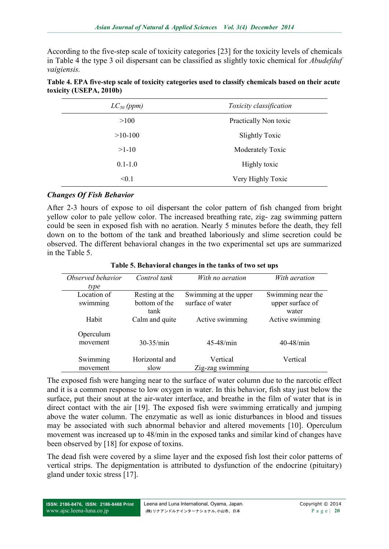According to the five-step scale of toxicity categories [23] for the toxicity levels of chemicals in Table 4 the type 3 oil dispersant can be classified as slightly toxic chemical for *Abudefduf vaigiensis.* 

| Table 4. EPA five-step scale of toxicity categories used to classify chemicals based on their acute |  |  |
|-----------------------------------------------------------------------------------------------------|--|--|
| toxicity (USEPA, 2010b)                                                                             |  |  |

| $LC_{50}$ (ppm) | Toxicity classification |  |
|-----------------|-------------------------|--|
| >100            | Practically Non toxic   |  |
| $>10-100$       | <b>Slightly Toxic</b>   |  |
| $>1-10$         | Moderately Toxic        |  |
| $0.1 - 1.0$     | Highly toxic            |  |
| < 0.1           | Very Highly Toxic       |  |

#### *Changes Of Fish Behavior*

After 2-3 hours of expose to oil dispersant the color pattern of fish changed from bright yellow color to pale yellow color. The increased breathing rate, zig- zag swimming pattern could be seen in exposed fish with no aeration. Nearly 5 minutes before the death, they fell down on to the bottom of the tank and breathed laboriously and slime secretion could be observed. The different behavioral changes in the two experimental set ups are summarized in the Table 5.

| Observed behavior<br>type | Control tank                            | With no aeration                          | With aeration                                  |
|---------------------------|-----------------------------------------|-------------------------------------------|------------------------------------------------|
| Location of<br>swimming   | Resting at the<br>bottom of the<br>tank | Swimming at the upper<br>surface of water | Swimming near the<br>upper surface of<br>water |
| Habit                     | Calm and quite                          | Active swimming                           | Active swimming                                |
| Operculum<br>movement     | $30-35/min$                             | $45 - 48$ /min                            | $40 - 48$ /min                                 |
| Swimming<br>movement      | Horizontal and<br>slow                  | Vertical<br>Zig-zag swimming              | Vertical                                       |

**Table 5. Behavioral changes in the tanks of two set ups**

The exposed fish were hanging near to the surface of water column due to the narcotic effect and it is a common response to low oxygen in water. In this behavior, fish stay just below the surface, put their snout at the air-water interface, and breathe in the film of water that is in direct contact with the air [19]. The exposed fish were swimming erratically and jumping above the water column. The enzymatic as well as ionic disturbances in blood and tissues may be associated with such abnormal behavior and altered movements [10]. Operculum movement was increased up to 48/min in the exposed tanks and similar kind of changes have been observed by [18] for expose of toxins.

The dead fish were covered by a slime layer and the exposed fish lost their color patterns of vertical strips. The depigmentation is attributed to dysfunction of the endocrine (pituitary) gland under toxic stress [17].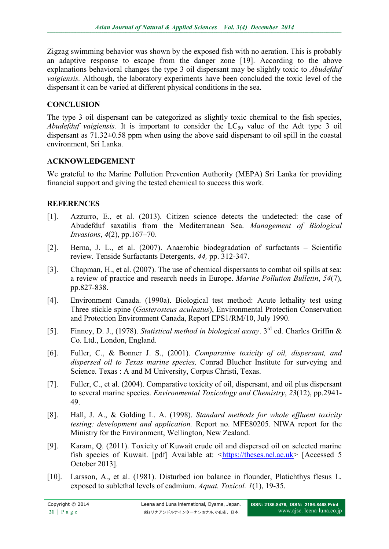Zigzag swimming behavior was shown by the exposed fish with no aeration. This is probably an adaptive response to escape from the danger zone [19]. According to the above explanations behavioral changes the type 3 oil dispersant may be slightly toxic to *Abudefduf vaigiensis.* Although, the laboratory experiments have been concluded the toxic level of the dispersant it can be varied at different physical conditions in the sea.

## **CONCLUSION**

The type 3 oil dispersant can be categorized as slightly toxic chemical to the fish species, *Abudefduf vaigiensis.* It is important to consider the  $LC_{50}$  value of the Adt type 3 oil dispersant as 71.32±0.58 ppm when using the above said dispersant to oil spill in the coastal environment, Sri Lanka.

#### **ACKNOWLEDGEMENT**

We grateful to the Marine Pollution Prevention Authority (MEPA) Sri Lanka for providing financial support and giving the tested chemical to success this work.

## **REFERENCES**

- [1]. Azzurro, E., et al. (2013). Citizen science detects the undetected: the case of Abudefduf saxatilis from the Mediterranean Sea. *Management of Biological Invasions*, *4*(2), pp.167–70.
- [2]. Berna, J. L., et al. (2007). Anaerobic biodegradation of surfactants Scientific review. Tenside Surfactants Detergents*, 44,* pp. 312-347.
- [3]. Chapman, H., et al. (2007). The use of chemical dispersants to combat oil spills at sea: a review of practice and research needs in Europe. *Marine Pollution Bulletin*, *54*(7), pp.827-838.
- [4]. Environment Canada. (1990a). Biological test method: Acute lethality test using Three stickle spine (*Gasterosteus aculeatus*), Environmental Protection Conservation and Protection Environment Canada, Report EPS1/RM/10, July 1990.
- [5]. Finney, D. J., (1978). *Statistical method in biological assay*. 3rd ed. Charles Griffin & Co. Ltd., London, England.
- [6]. Fuller, C., & Bonner J. S., (2001). *Comparative toxicity of oil, dispersant, and dispersed oil to Texas marine species,* Conrad Blucher Institute for surveying and Science. Texas : A and M University, Corpus Christi, Texas.
- [7]. Fuller, C., et al. (2004). Comparative toxicity of oil, dispersant, and oil plus dispersant to several marine species. *Environmental Toxicology and Chemistry*, *23*(12), pp.2941- 49.
- [8]. Hall, J. A., & Golding L. A. (1998). *Standard methods for whole effluent toxicity testing: development and application.* Report no. MFE80205. NIWA report for the Ministry for the Environment, Wellington, New Zealand.
- [9]. Karam, Q. (2011). Toxicity of Kuwait crude oil and dispersed oil on selected marine fish species of Kuwait. [pdf] Available at: [<https://theses.ncl.ac.uk>](https://theses.ncl.ac.uk/) [Accessed 5 October 2013].
- [10]. Larsson, A., et al. (1981). Disturbed ion balance in flounder, Platichthys flesus L. exposed to sublethal levels of cadmium. *Aquat. Toxicol. 1*(1), 19-35.